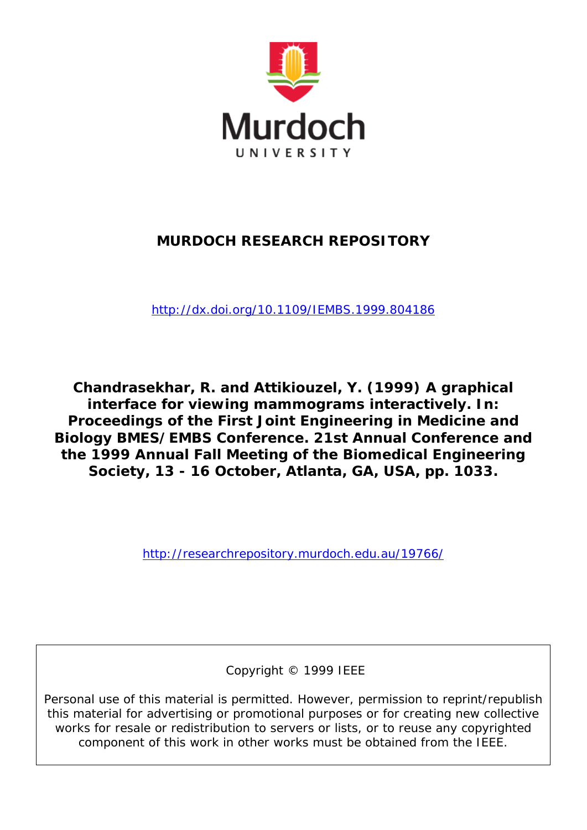

# **MURDOCH RESEARCH REPOSITORY**

*<http://dx.doi.org/10.1109/IEMBS.1999.804186>*

**Chandrasekhar, R. and Attikiouzel, Y. (1999) A graphical interface for viewing mammograms interactively. In: Proceedings of the First Joint Engineering in Medicine and Biology BMES/EMBS Conference. 21st Annual Conference and the 1999 Annual Fall Meeting of the Biomedical Engineering Society, 13 - 16 October, Atlanta, GA, USA, pp. 1033.**

<http://researchrepository.murdoch.edu.au/19766/>

Copyright © 1999 IEEE

Personal use of this material is permitted. However, permission to reprint/republish this material for advertising or promotional purposes or for creating new collective works for resale or redistribution to servers or lists, or to reuse any copyrighted component of this work in other works must be obtained from the IEEE.